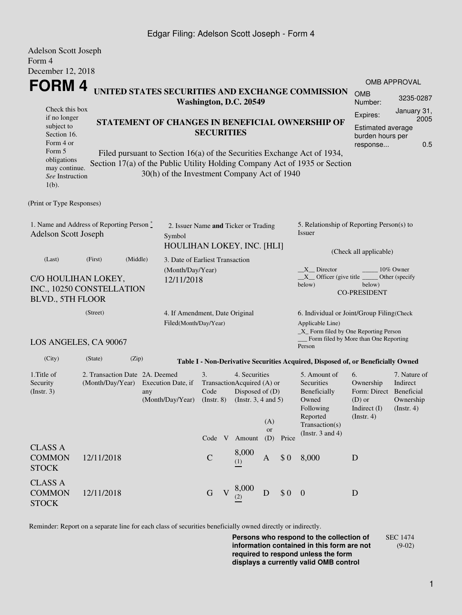## Edgar Filing: Adelson Scott Joseph - Form 4

| <b>Adelson Scott Joseph</b>                                                                                                                       |                                                    |                                                                                                                                                                                                                                                                                                        |  |                                |              |                                                                                              |                  |                                                                                                                   |                                                                                                                                                     |                                                                                             |                                                      |  |
|---------------------------------------------------------------------------------------------------------------------------------------------------|----------------------------------------------------|--------------------------------------------------------------------------------------------------------------------------------------------------------------------------------------------------------------------------------------------------------------------------------------------------------|--|--------------------------------|--------------|----------------------------------------------------------------------------------------------|------------------|-------------------------------------------------------------------------------------------------------------------|-----------------------------------------------------------------------------------------------------------------------------------------------------|---------------------------------------------------------------------------------------------|------------------------------------------------------|--|
| Form 4                                                                                                                                            |                                                    |                                                                                                                                                                                                                                                                                                        |  |                                |              |                                                                                              |                  |                                                                                                                   |                                                                                                                                                     |                                                                                             |                                                      |  |
| December 12, 2018<br>FORM 4                                                                                                                       |                                                    |                                                                                                                                                                                                                                                                                                        |  |                                |              |                                                                                              |                  |                                                                                                                   |                                                                                                                                                     |                                                                                             | <b>OMB APPROVAL</b>                                  |  |
|                                                                                                                                                   |                                                    |                                                                                                                                                                                                                                                                                                        |  |                                |              |                                                                                              |                  |                                                                                                                   | UNITED STATES SECURITIES AND EXCHANGE COMMISSION                                                                                                    | <b>OMB</b><br>Number:                                                                       | 3235-0287                                            |  |
| Check this box<br>if no longer<br>subject to<br>Section 16.<br>Form 4 or<br>Form 5<br>obligations<br>may continue.<br>See Instruction<br>$1(b)$ . |                                                    | Washington, D.C. 20549<br>STATEMENT OF CHANGES IN BENEFICIAL OWNERSHIP OF<br><b>SECURITIES</b><br>Filed pursuant to Section 16(a) of the Securities Exchange Act of 1934,<br>Section 17(a) of the Public Utility Holding Company Act of 1935 or Section<br>30(h) of the Investment Company Act of 1940 |  |                                |              |                                                                                              |                  |                                                                                                                   |                                                                                                                                                     | January 31,<br>Expires:<br>2005<br>Estimated average<br>burden hours per<br>0.5<br>response |                                                      |  |
| (Print or Type Responses)                                                                                                                         |                                                    |                                                                                                                                                                                                                                                                                                        |  |                                |              |                                                                                              |                  |                                                                                                                   |                                                                                                                                                     |                                                                                             |                                                      |  |
| 1. Name and Address of Reporting Person*<br><b>Adelson Scott Joseph</b><br>Symbol                                                                 |                                                    |                                                                                                                                                                                                                                                                                                        |  |                                |              | 2. Issuer Name and Ticker or Trading<br>HOULIHAN LOKEY, INC. [HLI]                           |                  |                                                                                                                   | 5. Relationship of Reporting Person(s) to<br>Issuer<br>(Check all applicable)                                                                       |                                                                                             |                                                      |  |
| (Last)<br>C/O HOULIHAN LOKEY,<br>INC., 10250 CONSTELLATION<br><b>BLVD., 5TH FLOOR</b>                                                             | (Middle)                                           | 3. Date of Earliest Transaction<br>(Month/Day/Year)<br>12/11/2018                                                                                                                                                                                                                                      |  |                                |              |                                                                                              |                  | $X$ Director<br>10% Owner<br>$X$ Officer (give title<br>Other (specify<br>below)<br>below)<br><b>CO-PRESIDENT</b> |                                                                                                                                                     |                                                                                             |                                                      |  |
| (Street)<br>4. If Amendment, Date Original<br>Filed(Month/Day/Year)                                                                               |                                                    |                                                                                                                                                                                                                                                                                                        |  |                                |              |                                                                                              |                  |                                                                                                                   | 6. Individual or Joint/Group Filing(Check<br>Applicable Line)<br>$\_X$ Form filed by One Reporting Person<br>_Form filed by More than One Reporting |                                                                                             |                                                      |  |
| LOS ANGELES, CA 90067                                                                                                                             |                                                    |                                                                                                                                                                                                                                                                                                        |  |                                |              |                                                                                              |                  |                                                                                                                   | Person                                                                                                                                              |                                                                                             |                                                      |  |
| (City)                                                                                                                                            | (State)<br>(Zip)                                   |                                                                                                                                                                                                                                                                                                        |  |                                |              |                                                                                              |                  |                                                                                                                   | Table I - Non-Derivative Securities Acquired, Disposed of, or Beneficially Owned                                                                    |                                                                                             |                                                      |  |
| 1. Title of<br>Security<br>(Instr. 3)                                                                                                             | 2. Transaction Date 2A. Deemed<br>(Month/Day/Year) | Execution Date, if<br>any<br>(Month/Day/Year)                                                                                                                                                                                                                                                          |  | 3.<br>Code<br>$($ Instr. 8 $)$ |              | 4. Securities<br>TransactionAcquired (A) or<br>Disposed of $(D)$<br>(Instr. $3, 4$ and $5$ ) | (A)<br><b>or</b> |                                                                                                                   | 5. Amount of<br>Securities<br>Beneficially<br>Owned<br>Following<br>Reported<br>Transaction(s)<br>(Instr. $3$ and $4$ )                             | 6.<br>Ownership<br>Form: Direct Beneficial<br>$(D)$ or<br>Indirect (I)<br>$($ Instr. 4 $)$  | 7. Nature of<br>Indirect<br>Ownership<br>(Insert. 4) |  |
| <b>CLASS A</b><br><b>COMMON</b><br><b>STOCK</b>                                                                                                   | 12/11/2018                                         |                                                                                                                                                                                                                                                                                                        |  | Code V<br>$\mathsf{C}$         |              | Amount<br>8,000<br>(1)                                                                       | (D)<br>A         | Price<br>\$0                                                                                                      | 8,000                                                                                                                                               | D                                                                                           |                                                      |  |
| <b>CLASS A</b><br><b>COMMON</b><br><b>STOCK</b>                                                                                                   | 12/11/2018                                         |                                                                                                                                                                                                                                                                                                        |  | $\mathbf G$                    | $\mathbf{V}$ | 8,000<br>(2)                                                                                 | D                | \$0                                                                                                               | $\overline{0}$                                                                                                                                      | D                                                                                           |                                                      |  |

Reminder: Report on a separate line for each class of securities beneficially owned directly or indirectly.

**Persons who respond to the collection of information contained in this form are not required to respond unless the form displays a currently valid OMB control** SEC 1474 (9-02)